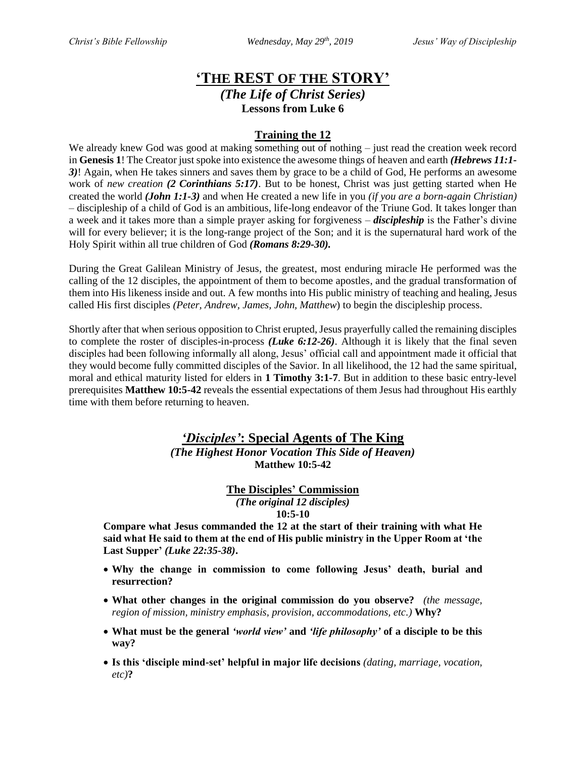## **'THE REST OF THE STORY'** *(The Life of Christ Series)* **Lessons from Luke 6**

### **Training the 12**

We already knew God was good at making something out of nothing – just read the creation week record in **Genesis 1**! The Creator just spoke into existence the awesome things of heaven and earth *(Hebrews 11:1- 3)*! Again, when He takes sinners and saves them by grace to be a child of God, He performs an awesome work of *new creation (2 Corinthians 5:17)*. But to be honest, Christ was just getting started when He created the world *(John 1:1-3)* and when He created a new life in you *(if you are a born-again Christian)* – discipleship of a child of God is an ambitious, life-long endeavor of the Triune God. It takes longer than a week and it takes more than a simple prayer asking for forgiveness – *discipleship* is the Father's divine will for every believer; it is the long-range project of the Son; and it is the supernatural hard work of the Holy Spirit within all true children of God *(Romans 8:29-30).*

During the Great Galilean Ministry of Jesus, the greatest, most enduring miracle He performed was the calling of the 12 disciples, the appointment of them to become apostles, and the gradual transformation of them into His likeness inside and out. A few months into His public ministry of teaching and healing, Jesus called His first disciples *(Peter, Andrew, James, John, Matthew*) to begin the discipleship process.

Shortly after that when serious opposition to Christ erupted, Jesus prayerfully called the remaining disciples to complete the roster of disciples-in-process *(Luke 6:12-26)*. Although it is likely that the final seven disciples had been following informally all along, Jesus' official call and appointment made it official that they would become fully committed disciples of the Savior. In all likelihood, the 12 had the same spiritual, moral and ethical maturity listed for elders in **1 Timothy 3:1-7**. But in addition to these basic entry-level prerequisites **Matthew 10:5-42** reveals the essential expectations of them Jesus had throughout His earthly time with them before returning to heaven.

# *'Disciples'***: Special Agents of The King**

*(The Highest Honor Vocation This Side of Heaven)* **Matthew 10:5-42**

> **The Disciples' Commission** *(The original 12 disciples)* **10:5-10**

**Compare what Jesus commanded the 12 at the start of their training with what He said what He said to them at the end of His public ministry in the Upper Room at 'the Last Supper'** *(Luke 22:35-38)***.** 

- **Why the change in commission to come following Jesus' death, burial and resurrection?**
- **What other changes in the original commission do you observe?** *(the message, region of mission, ministry emphasis, provision, accommodations, etc.)* **Why?**
- **What must be the general** *'world view'* **and** *'life philosophy'* **of a disciple to be this way?**
- **Is this 'disciple mind-set' helpful in major life decisions** *(dating, marriage, vocation, etc)***?**